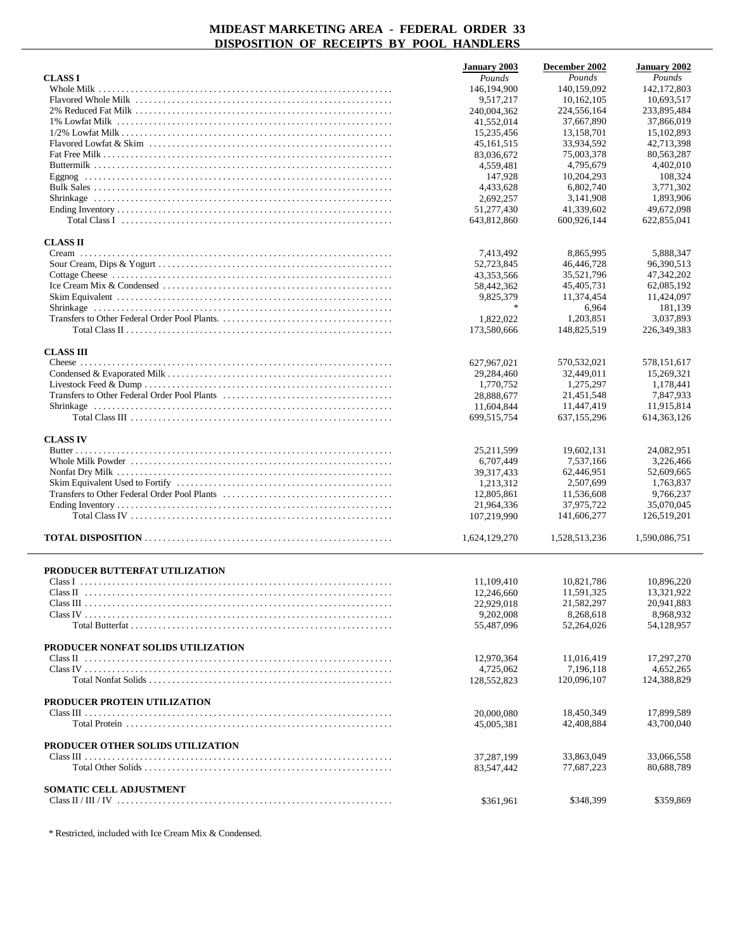|                                                                                                                                             | <b>January 2003</b>       | December 2002           | January 2002            |
|---------------------------------------------------------------------------------------------------------------------------------------------|---------------------------|-------------------------|-------------------------|
| <b>CLASSI</b>                                                                                                                               | Pounds                    | Pounds                  | Pounds                  |
|                                                                                                                                             | 146,194,900               | 140,159,092             | 142,172,803             |
|                                                                                                                                             | 9,517,217                 | 10,162,105              | 10,693,517              |
|                                                                                                                                             | 240,004,362               | 224,556,164             | 233,895,484             |
|                                                                                                                                             | 41,552,014                | 37,667,890              | 37,866,019              |
|                                                                                                                                             | 15,235,456                | 13,158,701              | 15,102,893              |
|                                                                                                                                             | 45, 161, 515              | 33,934,592              | 42,713,398              |
|                                                                                                                                             | 83,036,672                | 75,003,378              | 80,563,287              |
|                                                                                                                                             | 4,559,481<br>147,928      | 4,795,679<br>10,204,293 | 4,402,010<br>108,324    |
|                                                                                                                                             | 4.433.628                 | 6,802,740               | 3.771.302               |
|                                                                                                                                             | 2,692,257                 | 3,141,908               | 1,893,906               |
|                                                                                                                                             | 51,277,430                | 41,339,602              | 49.672.098              |
| Total Class I $\ldots$ $\ldots$ $\ldots$ $\ldots$ $\ldots$ $\ldots$ $\ldots$ $\ldots$ $\ldots$ $\ldots$ $\ldots$ $\ldots$ $\ldots$ $\ldots$ | 643,812,860               | 600,926,144             | 622,855,041             |
|                                                                                                                                             |                           |                         |                         |
| <b>CLASS II</b>                                                                                                                             |                           |                         |                         |
|                                                                                                                                             | 7,413,492                 | 8,865,995               | 5,888,347               |
|                                                                                                                                             | 52,723,845                | 46,446,728              | 96,390,513              |
|                                                                                                                                             | 43,353,566                | 35,521,796              | 47, 342, 202            |
|                                                                                                                                             | 58,442,362                | 45,405,731              | 62,085,192              |
|                                                                                                                                             | 9,825,379                 | 11,374,454              | 11,424,097              |
|                                                                                                                                             | $\frac{1}{2}$             | 6,964                   | 181,139                 |
|                                                                                                                                             | 1,822,022                 | 1,203,851               | 3,037,893               |
|                                                                                                                                             | 173,580,666               | 148,825,519             | 226, 349, 383           |
|                                                                                                                                             |                           |                         |                         |
| <b>CLASS III</b>                                                                                                                            |                           | 570,532,021             | 578,151,617             |
|                                                                                                                                             | 627,967,021<br>29,284,460 | 32,449,011              | 15,269,321              |
|                                                                                                                                             | 1,770,752                 | 1,275,297               | 1,178,441               |
|                                                                                                                                             | 28,888,677                | 21,451,548              | 7,847,933               |
|                                                                                                                                             | 11,604,844                | 11,447,419              | 11,915,814              |
|                                                                                                                                             | 699,515,754               | 637,155,296             | 614, 363, 126           |
|                                                                                                                                             |                           |                         |                         |
| <b>CLASS IV</b>                                                                                                                             |                           |                         |                         |
|                                                                                                                                             | 25, 211, 599              | 19,602,131              | 24,082,951              |
|                                                                                                                                             | 6,707,449                 | 7,537,166               | 3,226,466               |
|                                                                                                                                             | 39, 317, 433              | 62,446,951              | 52,609,665              |
|                                                                                                                                             | 1,213,312                 | 2,507,699               | 1,763,837               |
|                                                                                                                                             | 12,805,861                | 11,536,608              | 9,766,237               |
|                                                                                                                                             | 21,964,336                | 37,975,722              | 35,070,045              |
|                                                                                                                                             | 107,219,990               | 141,606,277             | 126,519,201             |
|                                                                                                                                             | 1,624,129,270             | 1.528.513.236           | 1,590,086,751           |
|                                                                                                                                             |                           |                         |                         |
|                                                                                                                                             |                           |                         |                         |
| PRODUCER BUTTERFAT UTILIZATION                                                                                                              |                           |                         |                         |
|                                                                                                                                             | 11.109.410                | 10,821,786              | 10,896,220              |
| Class II                                                                                                                                    | 12,246,660                | 11,591,325              | 13,321,922              |
|                                                                                                                                             | 22,929,018<br>9,202,008   | 21,582,297              | 20,941,883              |
| Total Butterfat                                                                                                                             | 55,487,096                | 8,268,618<br>52,264,026 | 8,968,932<br>54,128,957 |
|                                                                                                                                             |                           |                         |                         |
| PRODUCER NONFAT SOLIDS UTILIZATION                                                                                                          |                           |                         |                         |
|                                                                                                                                             | 12,970,364                | 11,016,419              | 17,297,270              |
|                                                                                                                                             | 4,725,062                 | 7,196,118               | 4,652,265               |
|                                                                                                                                             | 128,552,823               | 120,096,107             | 124,388,829             |
|                                                                                                                                             |                           |                         |                         |
| PRODUCER PROTEIN UTILIZATION                                                                                                                |                           |                         |                         |
|                                                                                                                                             | 20,000,080                | 18,450,349              | 17,899,589              |
|                                                                                                                                             | 45,005,381                | 42,408,884              | 43,700,040              |
|                                                                                                                                             |                           |                         |                         |
| PRODUCER OTHER SOLIDS UTILIZATION                                                                                                           |                           |                         |                         |
|                                                                                                                                             | 37,287,199                | 33,863,049              | 33,066,558              |
|                                                                                                                                             | 83,547,442                | 77,687,223              | 80,688,789              |
| <b>SOMATIC CELL ADJUSTMENT</b>                                                                                                              |                           |                         |                         |
|                                                                                                                                             | \$361,961                 | \$348,399               | \$359,869               |
|                                                                                                                                             |                           |                         |                         |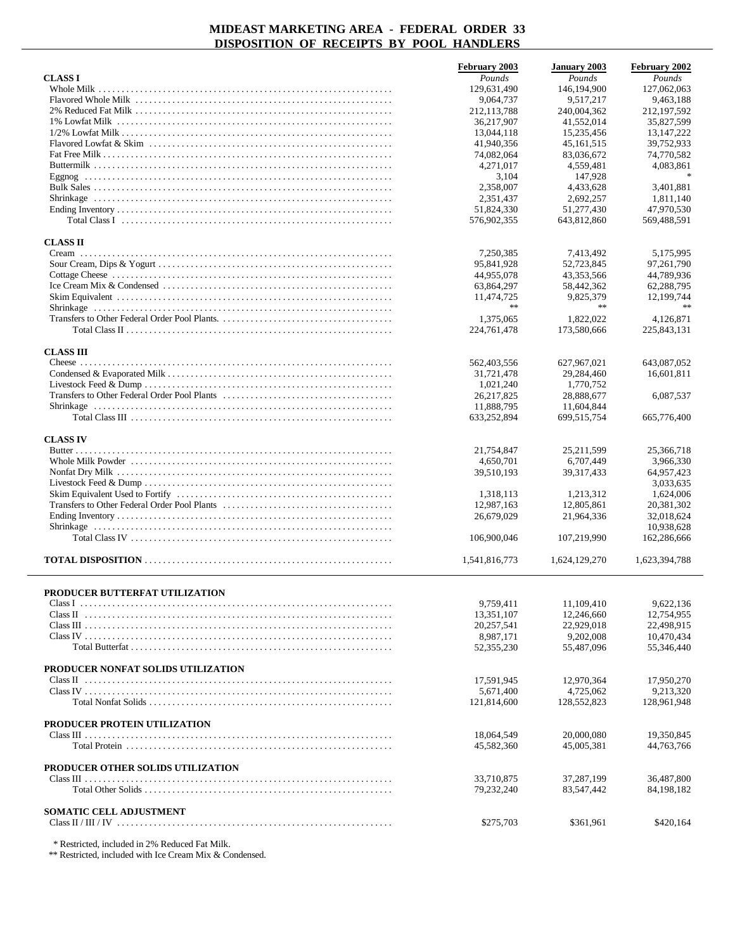|                                    | February 2003 | <b>January 2003</b> | February 2002 |
|------------------------------------|---------------|---------------------|---------------|
| <b>CLASS I</b>                     | Pounds        | Pounds              | Pounds        |
|                                    | 129,631,490   | 146,194,900         | 127,062,063   |
|                                    | 9,064,737     | 9,517,217           | 9,463,188     |
|                                    | 212,113,788   | 240,004,362         | 212,197,592   |
|                                    | 36,217,907    | 41,552,014          | 35,827,599    |
|                                    | 13,044,118    | 15,235,456          | 13, 147, 222  |
|                                    | 41,940,356    | 45, 161, 515        | 39,752,933    |
|                                    | 74,082,064    | 83,036,672          | 74,770,582    |
|                                    | 4,271,017     | 4,559,481           | 4,083,861     |
|                                    | 3,104         | 147,928             | $\ast$        |
|                                    | 2,358,007     | 4,433,628           | 3,401,881     |
|                                    | 2.351.437     | 2,692,257           | 1.811.140     |
|                                    | 51,824,330    | 51,277,430          | 47,970,530    |
|                                    | 576,902,355   | 643,812,860         | 569,488,591   |
|                                    |               |                     |               |
| <b>CLASS II</b>                    |               |                     |               |
|                                    | 7,250,385     | 7,413,492           | 5,175,995     |
|                                    | 95,841,928    | 52,723,845          | 97,261,790    |
|                                    | 44,955,078    | 43,353,566          | 44,789,936    |
|                                    | 63,864,297    | 58,442,362          | 62,288,795    |
|                                    | 11,474,725    | 9,825,379           | 12,199,744    |
|                                    | **            | $\star\star$        | $**$          |
|                                    |               |                     |               |
|                                    | 1,375,065     | 1,822,022           | 4.126.871     |
|                                    | 224,761,478   | 173,580,666         | 225,843,131   |
|                                    |               |                     |               |
| <b>CLASS III</b>                   |               |                     |               |
|                                    | 562,403,556   | 627,967,021         | 643,087,052   |
|                                    | 31,721,478    | 29,284,460          | 16,601,811    |
|                                    | 1,021,240     | 1,770,752           |               |
|                                    | 26, 217, 825  | 28,888,677          | 6,087,537     |
|                                    | 11,888,795    | 11,604,844          |               |
|                                    | 633,252,894   | 699,515,754         | 665,776,400   |
|                                    |               |                     |               |
| <b>CLASS IV</b>                    |               |                     |               |
|                                    | 21,754,847    | 25, 211, 599        | 25,366,718    |
|                                    | 4,650,701     | 6,707,449           | 3,966,330     |
|                                    | 39,510,193    | 39, 317, 433        | 64,957,423    |
|                                    |               |                     | 3,033,635     |
|                                    | 1,318,113     | 1,213,312           | 1,624,006     |
|                                    | 12,987,163    | 12,805,861          | 20,381,302    |
|                                    | 26,679,029    | 21,964,336          | 32,018,624    |
|                                    |               |                     | 10,938,628    |
|                                    | 106,900,046   | 107,219,990         | 162,286,666   |
|                                    |               |                     |               |
|                                    | 1,541,816,773 |                     | 1,623,394,788 |
|                                    |               | 1,624,129,270       |               |
|                                    |               |                     |               |
| PRODUCER BUTTERFAT UTILIZATION     |               |                     |               |
|                                    | 9.759.411     |                     |               |
|                                    |               | 11,109,410          | 9,622,136     |
|                                    | 13,351,107    | 12,246,660          | 12,754,955    |
|                                    | 20,257,541    | 22,929,018          | 22,498,915    |
|                                    | 8,987,171     | 9,202,008           | 10,470,434    |
|                                    | 52,355,230    | 55,487,096          | 55,346,440    |
|                                    |               |                     |               |
| PRODUCER NONFAT SOLIDS UTILIZATION |               |                     |               |
|                                    | 17,591,945    | 12,970,364          | 17,950,270    |
|                                    | 5,671,400     | 4,725,062           | 9,213,320     |
|                                    | 121,814,600   | 128,552,823         | 128,961,948   |
|                                    |               |                     |               |
| PRODUCER PROTEIN UTILIZATION       |               |                     |               |
|                                    | 18,064,549    | 20,000,080          | 19,350,845    |
|                                    | 45,582,360    | 45,005,381          | 44,763,766    |
|                                    |               |                     |               |
| PRODUCER OTHER SOLIDS UTILIZATION  |               |                     |               |
|                                    | 33,710,875    | 37,287,199          | 36,487,800    |
|                                    | 79,232,240    | 83,547,442          | 84,198,182    |
|                                    |               |                     |               |
| <b>SOMATIC CELL ADJUSTMENT</b>     |               |                     |               |
|                                    | \$275,703     | \$361,961           | \$420,164     |
|                                    |               |                     |               |

\* Restricted, included in 2% Reduced Fat Milk.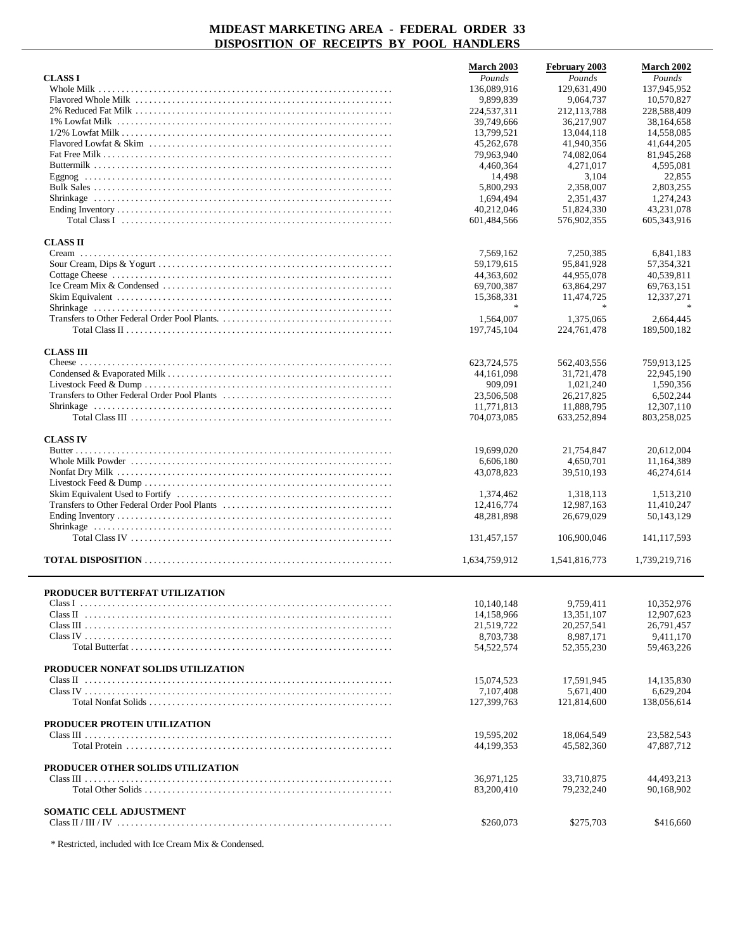|                                    | March 2003    | February 2003 | <b>March 2002</b> |
|------------------------------------|---------------|---------------|-------------------|
| <b>CLASS I</b>                     | Pounds        | Pounds        | Pounds            |
|                                    | 136,089,916   | 129,631,490   | 137,945,952       |
|                                    | 9,899,839     | 9,064,737     | 10,570,827        |
|                                    | 224,537,311   | 212, 113, 788 | 228,588,409       |
|                                    | 39,749,666    | 36,217,907    | 38,164,658        |
|                                    | 13,799,521    | 13,044,118    | 14,558,085        |
|                                    | 45, 262, 678  | 41,940,356    | 41,644,205        |
|                                    | 79,963,940    | 74,082,064    | 81,945,268        |
|                                    | 4,460,364     | 4,271,017     | 4,595,081         |
|                                    | 14,498        | 3,104         | 22,855            |
|                                    | 5,800,293     | 2,358,007     | 2,803,255         |
|                                    | 1,694,494     | 2,351,437     | 1,274,243         |
|                                    | 40,212,046    | 51,824,330    | 43,231,078        |
|                                    | 601,484,566   | 576,902,355   | 605, 343, 916     |
| <b>CLASS II</b>                    |               |               |                   |
|                                    | 7,569,162     | 7,250,385     | 6,841,183         |
|                                    | 59,179,615    | 95,841,928    | 57, 354, 321      |
|                                    | 44,363,602    | 44,955,078    | 40,539,811        |
|                                    | 69,700,387    | 63,864,297    | 69, 763, 151      |
|                                    | 15,368,331    | 11,474,725    | 12,337,271        |
|                                    | 宋             | $\mathcal{H}$ | $\star$           |
|                                    | 1,564,007     | 1,375,065     | 2,664,445         |
|                                    | 197,745,104   | 224,761,478   | 189,500,182       |
|                                    |               |               |                   |
| <b>CLASS III</b>                   |               |               |                   |
|                                    | 623,724,575   | 562,403,556   | 759,913,125       |
|                                    | 44, 161, 098  | 31,721,478    | 22,945,190        |
|                                    | 909,091       | 1,021,240     | 1,590,356         |
|                                    | 23,506,508    | 26, 217, 825  | 6,502,244         |
|                                    | 11,771,813    | 11,888,795    | 12,307,110        |
|                                    | 704,073,085   | 633,252,894   | 803,258,025       |
| <b>CLASS IV</b>                    |               |               |                   |
|                                    | 19,699,020    | 21,754,847    | 20,612,004        |
|                                    | 6,606,180     | 4,650,701     | 11,164,389        |
|                                    | 43,078,823    | 39,510,193    | 46,274,614        |
|                                    |               |               |                   |
|                                    | 1,374,462     | 1,318,113     | 1,513,210         |
|                                    | 12,416,774    | 12,987,163    | 11,410,247        |
|                                    | 48,281,898    | 26,679,029    | 50,143,129        |
|                                    | 131,457,157   |               | 141, 117, 593     |
|                                    |               | 106,900,046   |                   |
|                                    | 1,634,759,912 | 1,541,816,773 | 1,739,219,716     |
| PRODUCER BUTTERFAT UTILIZATION     |               |               |                   |
|                                    | 10,140,148    | 9,759,411     | 10,352,976        |
|                                    | 14,158,966    | 13,351,107    | 12,907,623        |
|                                    | 21,519,722    | 20,257,541    | 26,791,457        |
|                                    | 8,703,738     | 8,987,171     | 9,411,170         |
|                                    | 54,522,574    | 52, 355, 230  | 59,463,226        |
|                                    |               |               |                   |
| PRODUCER NONFAT SOLIDS UTILIZATION |               |               |                   |
|                                    | 15,074,523    | 17,591,945    | 14, 135, 830      |
|                                    | 7,107,408     | 5,671,400     | 6,629,204         |
|                                    | 127,399,763   | 121,814,600   | 138,056,614       |
| PRODUCER PROTEIN UTILIZATION       |               |               |                   |
|                                    | 19.595.202    | 18,064,549    | 23,582,543        |
|                                    | 44,199,353    | 45,582,360    | 47,887,712        |
|                                    |               |               |                   |
| PRODUCER OTHER SOLIDS UTILIZATION  |               |               |                   |
|                                    | 36,971,125    | 33,710,875    | 44,493,213        |
|                                    | 83,200,410    | 79,232,240    | 90,168,902        |
| SOMATIC CELL ADJUSTMENT            |               |               |                   |
|                                    | \$260,073     | \$275,703     | \$416,660         |
|                                    |               |               |                   |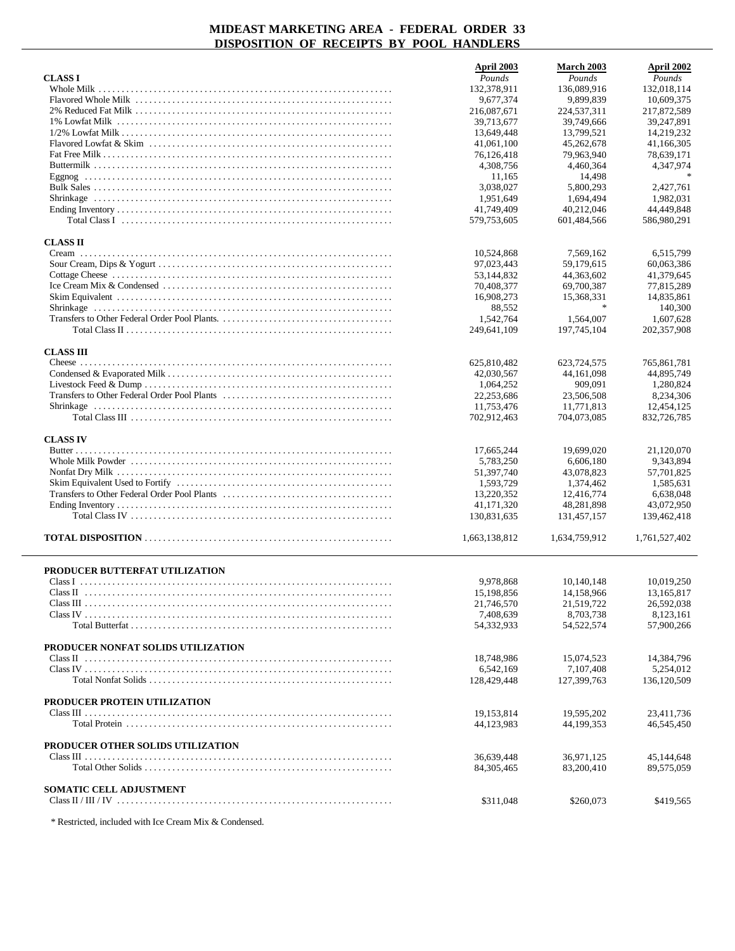|                                                                                                                                    | April 2003                | <b>March 2003</b>           | April 2002                |
|------------------------------------------------------------------------------------------------------------------------------------|---------------------------|-----------------------------|---------------------------|
| <b>CLASS I</b>                                                                                                                     | Pounds                    | Pounds                      | Pounds                    |
|                                                                                                                                    | 132,378,911               | 136,089,916                 | 132,018,114               |
|                                                                                                                                    | 9,677,374                 | 9,899,839                   | 10,609,375                |
|                                                                                                                                    | 216,087,671<br>39,713,677 | 224,537,311<br>39,749,666   | 217,872,589<br>39,247,891 |
|                                                                                                                                    | 13,649,448                | 13,799,521                  | 14,219,232                |
|                                                                                                                                    | 41,061,100                | 45,262,678                  | 41,166,305                |
|                                                                                                                                    | 76,126,418                | 79,963,940                  | 78,639,171                |
|                                                                                                                                    | 4,308,756                 | 4,460,364                   | 4,347,974                 |
|                                                                                                                                    | 11,165                    | 14,498                      |                           |
|                                                                                                                                    | 3,038,027                 | 5,800,293                   | 2,427,761                 |
|                                                                                                                                    | 1,951,649<br>41,749,409   | 1,694,494<br>40,212,046     | 1,982,031<br>44,449,848   |
| Total Class I $\ldots$ $\ldots$ $\ldots$ $\ldots$ $\ldots$ $\ldots$ $\ldots$ $\ldots$ $\ldots$ $\ldots$ $\ldots$ $\ldots$ $\ldots$ | 579,753,605               | 601,484,566                 | 586,980,291               |
| <b>CLASS II</b>                                                                                                                    |                           |                             |                           |
|                                                                                                                                    | 10,524,868                | 7,569,162                   | 6,515,799                 |
|                                                                                                                                    | 97,023,443                | 59,179,615                  | 60,063,386                |
|                                                                                                                                    | 53,144,832                | 44, 363, 602                | 41,379,645                |
|                                                                                                                                    | 70,408,377                | 69,700,387                  | 77,815,289                |
|                                                                                                                                    | 16,908,273                | 15,368,331<br>$\ast$        | 14,835,861                |
|                                                                                                                                    | 88,552<br>1.542.764       | 1,564,007                   | 140,300<br>1,607,628      |
|                                                                                                                                    | 249,641,109               | 197,745,104                 | 202,357,908               |
|                                                                                                                                    |                           |                             |                           |
| <b>CLASS III</b>                                                                                                                   |                           |                             |                           |
|                                                                                                                                    | 625,810,482<br>42.030.567 | 623,724,575<br>44, 161, 098 | 765,861,781<br>44,895,749 |
|                                                                                                                                    | 1,064,252                 | 909,091                     | 1,280,824                 |
|                                                                                                                                    | 22,253,686                | 23,506,508                  | 8,234,306                 |
|                                                                                                                                    | 11,753,476                | 11,771,813                  | 12,454,125                |
|                                                                                                                                    | 702,912,463               | 704,073,085                 | 832,726,785               |
|                                                                                                                                    |                           |                             |                           |
| <b>CLASS IV</b>                                                                                                                    | 17,665,244                | 19,699,020                  | 21,120,070                |
|                                                                                                                                    | 5,783,250                 | 6,606,180                   | 9,343,894                 |
|                                                                                                                                    | 51,397,740                | 43,078,823                  | 57,701,825                |
|                                                                                                                                    | 1,593,729                 | 1,374,462                   | 1,585,631                 |
|                                                                                                                                    | 13,220,352                | 12,416,774                  | 6,638,048                 |
|                                                                                                                                    | 41,171,320                | 48,281,898                  | 43,072,950                |
|                                                                                                                                    | 130,831,635               | 131,457,157                 | 139,462,418               |
|                                                                                                                                    | 1,663,138,812             | 1,634,759,912               | 1,761,527,402             |
| PRODUCER BUTTERFAT UTILIZATION                                                                                                     |                           |                             |                           |
|                                                                                                                                    | 9,978,868                 | 10,140,148                  | 10,019,250                |
|                                                                                                                                    | 15,198,856                | 14,158,966                  | 13,165,817                |
|                                                                                                                                    | 21,746,570                | 21,519,722                  | 26,592,038                |
|                                                                                                                                    | 7,408,639                 | 8,703,738                   | 8,123,161                 |
|                                                                                                                                    | 54,332,933                | 54,522,574                  | 57,900,266                |
| PRODUCER NONFAT SOLIDS UTILIZATION                                                                                                 |                           |                             |                           |
|                                                                                                                                    | 18,748,986                | 15,074,523                  | 14,384,796                |
|                                                                                                                                    | 6,542,169                 | 7,107,408                   | 5,254,012                 |
|                                                                                                                                    | 128,429,448               | 127,399,763                 | 136,120,509               |
| PRODUCER PROTEIN UTILIZATION                                                                                                       |                           |                             |                           |
|                                                                                                                                    | 19,153,814                | 19,595,202                  | 23,411,736                |
|                                                                                                                                    | 44,123,983                | 44,199,353                  | 46,545,450                |
| PRODUCER OTHER SOLIDS UTILIZATION                                                                                                  |                           |                             |                           |
|                                                                                                                                    | 36,639,448                | 36,971,125                  | 45,144,648                |
|                                                                                                                                    | 84, 305, 465              | 83,200,410                  | 89,575,059                |
| <b>SOMATIC CELL ADJUSTMENT</b>                                                                                                     |                           |                             |                           |
|                                                                                                                                    | \$311,048                 | \$260,073                   | \$419,565                 |
|                                                                                                                                    |                           |                             |                           |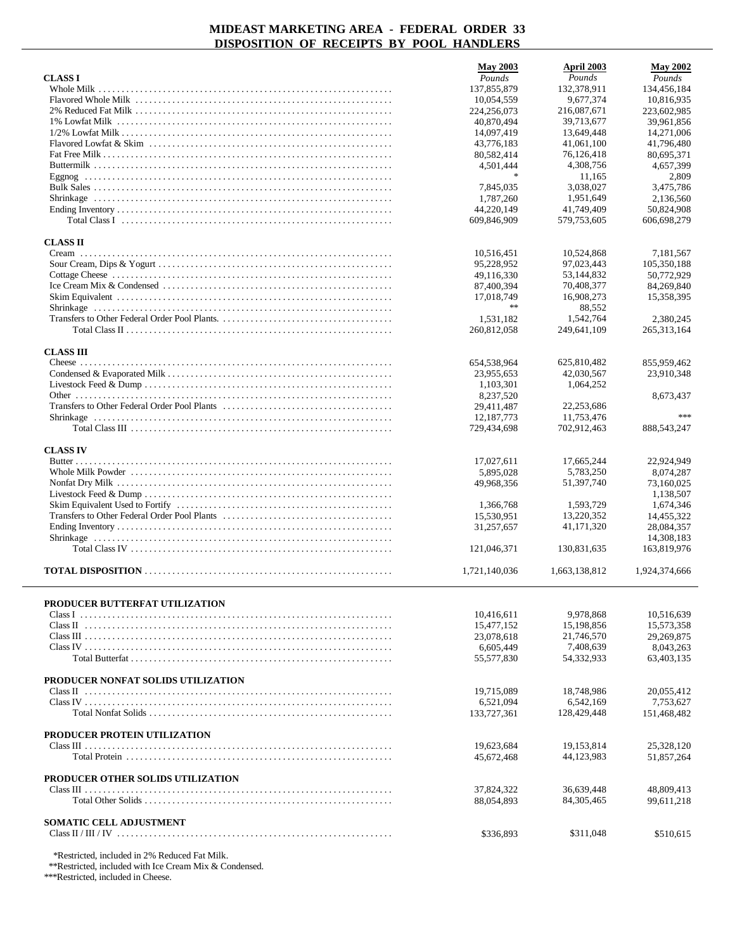|                                                                                                                                             | <b>May 2003</b>           | April 2003                | <b>May 2002</b>            |
|---------------------------------------------------------------------------------------------------------------------------------------------|---------------------------|---------------------------|----------------------------|
| <b>CLASS I</b>                                                                                                                              | Pounds                    | Pounds                    | Pounds                     |
|                                                                                                                                             | 137,855,879               | 132,378,911               | 134,456,184                |
|                                                                                                                                             | 10,054,559                | 9,677,374                 | 10,816,935                 |
|                                                                                                                                             | 224,256,073<br>40,870,494 | 216,087,671<br>39,713,677 | 223,602,985<br>39,961,856  |
|                                                                                                                                             | 14,097,419                | 13,649,448                | 14,271,006                 |
|                                                                                                                                             | 43,776,183                | 41,061,100                | 41,796,480                 |
|                                                                                                                                             | 80,582,414                | 76,126,418                | 80,695,371                 |
|                                                                                                                                             | 4,501,444                 | 4,308,756                 | 4,657,399                  |
|                                                                                                                                             | $\frac{1}{2}$             | 11,165                    | 2,809                      |
|                                                                                                                                             | 7,845,035                 | 3,038,027                 | 3,475,786                  |
|                                                                                                                                             | 1.787.260                 | 1,951,649                 | 2,136,560                  |
|                                                                                                                                             | 44,220,149                | 41,749,409                | 50,824,908                 |
| Total Class I $\ldots$ $\ldots$ $\ldots$ $\ldots$ $\ldots$ $\ldots$ $\ldots$ $\ldots$ $\ldots$ $\ldots$ $\ldots$ $\ldots$ $\ldots$ $\ldots$ | 609,846,909               | 579,753,605               | 606.698.279                |
| <b>CLASS II</b>                                                                                                                             |                           |                           |                            |
|                                                                                                                                             | 10,516,451                | 10,524,868                | 7,181,567                  |
|                                                                                                                                             | 95,228,952                | 97,023,443                | 105,350,188                |
|                                                                                                                                             | 49,116,330                | 53,144,832                | 50,772,929                 |
|                                                                                                                                             | 87,400,394                | 70,408,377                | 84,269,840                 |
|                                                                                                                                             | 17.018.749<br>$\ast$      | 16,908,273                | 15,358,395                 |
|                                                                                                                                             |                           | 88,552                    |                            |
|                                                                                                                                             | 1,531,182<br>260,812,058  | 1,542,764<br>249,641,109  | 2,380,245<br>265, 313, 164 |
|                                                                                                                                             |                           |                           |                            |
| <b>CLASS III</b>                                                                                                                            |                           |                           |                            |
|                                                                                                                                             | 654,538,964               | 625,810,482               | 855,959,462                |
|                                                                                                                                             | 23.955.653                | 42,030,567                | 23,910,348                 |
|                                                                                                                                             | 1,103,301                 | 1,064,252                 |                            |
|                                                                                                                                             | 8,237,520                 |                           | 8,673,437                  |
|                                                                                                                                             | 29,411,487                | 22,253,686                | ***                        |
|                                                                                                                                             | 12,187,773                | 11,753,476                |                            |
|                                                                                                                                             | 729,434,698               | 702,912,463               | 888,543,247                |
| <b>CLASS IV</b>                                                                                                                             |                           |                           |                            |
|                                                                                                                                             | 17,027,611                | 17,665,244                | 22,924,949                 |
|                                                                                                                                             | 5,895,028                 | 5,783,250                 | 8,074,287                  |
|                                                                                                                                             | 49,968,356                | 51,397,740                | 73,160,025                 |
|                                                                                                                                             |                           |                           | 1,138,507                  |
|                                                                                                                                             | 1,366,768                 | 1,593,729                 | 1,674,346                  |
|                                                                                                                                             | 15,530,951                | 13,220,352                | 14,455,322                 |
|                                                                                                                                             | 31,257,657                | 41,171,320                | 28,084,357<br>14,308,183   |
|                                                                                                                                             | 121,046,371               | 130,831,635               | 163,819,976                |
|                                                                                                                                             |                           |                           |                            |
|                                                                                                                                             | 1,721,140,036             | 1,663,138,812             | 1,924,374,666              |
|                                                                                                                                             |                           |                           |                            |
| PRODUCER BUTTERFAT UTILIZATION                                                                                                              |                           |                           |                            |
|                                                                                                                                             | 10,416,611                | 9,978,868                 | 10,516,639                 |
|                                                                                                                                             | 15,477,152                | 15,198,856                | 15,573,358                 |
|                                                                                                                                             | 23,078,618                | 21,746,570                | 29,269,875                 |
|                                                                                                                                             | 6,605,449                 | 7,408,639                 | 8,043,263                  |
| Total Butterfat                                                                                                                             | 55,577,830                | 54,332,933                | 63.403.135                 |
| PRODUCER NONFAT SOLIDS UTILIZATION                                                                                                          |                           |                           |                            |
|                                                                                                                                             | 19,715,089                | 18,748,986                | 20,055,412                 |
|                                                                                                                                             | 6,521,094                 | 6,542,169                 | 7,753,627                  |
|                                                                                                                                             | 133,727,361               | 128,429,448               | 151,468,482                |
|                                                                                                                                             |                           |                           |                            |
| PRODUCER PROTEIN UTILIZATION                                                                                                                |                           |                           |                            |
|                                                                                                                                             | 19,623,684                | 19,153,814                | 25,328,120                 |
|                                                                                                                                             | 45,672,468                | 44,123,983                | 51,857,264                 |
| PRODUCER OTHER SOLIDS UTILIZATION                                                                                                           |                           |                           |                            |
|                                                                                                                                             | 37,824,322                | 36,639,448                | 48,809,413                 |
|                                                                                                                                             | 88,054,893                | 84, 305, 465              | 99,611,218                 |
|                                                                                                                                             |                           |                           |                            |
| SOMATIC CELL ADJUSTMENT                                                                                                                     |                           |                           |                            |
|                                                                                                                                             | \$336,893                 | \$311,048                 | \$510,615                  |
| *Restricted, included in 2% Reduced Fat Milk.                                                                                               |                           |                           |                            |
|                                                                                                                                             |                           |                           |                            |

\*\*Restricted, included with Ice Cream Mix & Condensed.

\*\*\*Restricted, included in Cheese.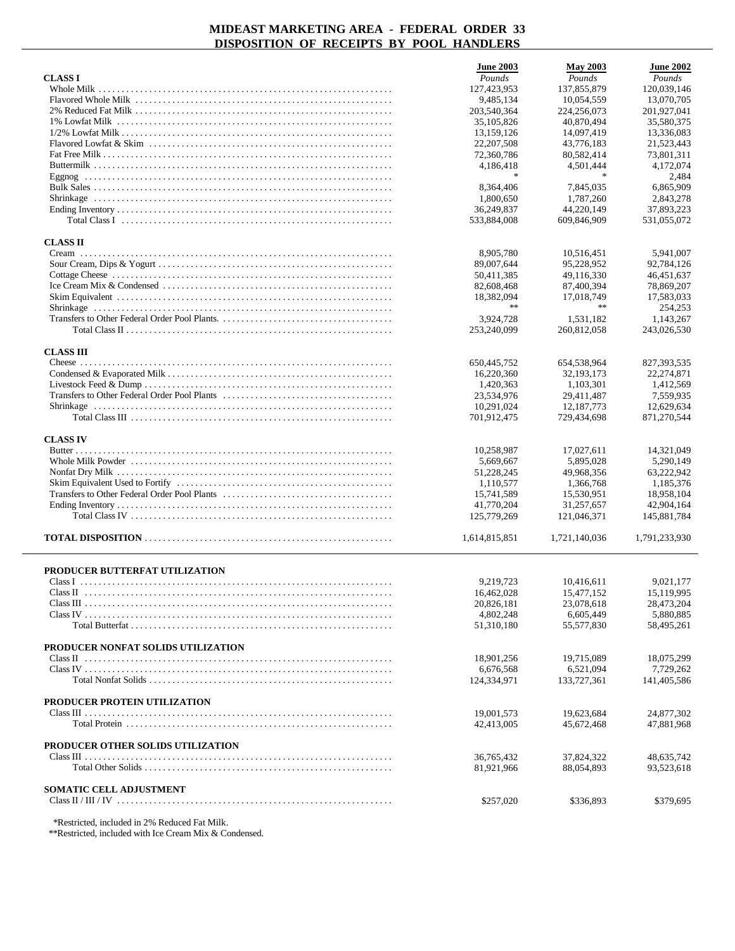|                                    | <b>June 2003</b>           | <b>May 2003</b>            | <b>June 2002</b>         |
|------------------------------------|----------------------------|----------------------------|--------------------------|
| <b>CLASS I</b>                     | Pounds                     | Pounds                     | Pounds                   |
|                                    | 127,423,953                | 137,855,879                | 120,039,146              |
|                                    | 9,485,134                  | 10,054,559                 | 13,070,705               |
|                                    | 203,540,364                | 224,256,073                | 201,927,041              |
|                                    | 35,105,826                 | 40,870,494                 | 35,580,375               |
|                                    | 13,159,126                 | 14,097,419                 | 13,336,083               |
|                                    | 22, 207, 508<br>72,360,786 | 43,776,183<br>80,582,414   | 21,523,443<br>73,801,311 |
|                                    | 4,186,418                  | 4,501,444                  | 4,172,074                |
|                                    | $\frac{1}{2}$              |                            | 2,484                    |
|                                    | 8,364,406                  | 7,845,035                  | 6,865,909                |
|                                    | 1,800,650                  | 1,787,260                  | 2,843,278                |
|                                    | 36,249,837                 | 44,220,149                 | 37,893,223               |
|                                    | 533.884.008                | 609,846,909                | 531,055,072              |
|                                    |                            |                            |                          |
| <b>CLASS II</b>                    |                            |                            |                          |
| Cream                              | 8,905,780                  | 10,516,451                 | 5,941,007                |
|                                    | 89,007,644                 | 95,228,952                 | 92,784,126               |
|                                    | 50,411,385                 | 49,116,330                 | 46,451,637               |
|                                    | 82,608,468                 | 87,400,394                 | 78,869,207               |
|                                    | 18,382,094<br>$\gg \gg$    | 17,018,749<br>$\star\star$ | 17,583,033               |
|                                    |                            |                            | 254,253                  |
|                                    | 3,924,728<br>253,240,099   | 1,531,182<br>260,812,058   | 1,143,267                |
|                                    |                            |                            | 243,026,530              |
| <b>CLASS III</b>                   |                            |                            |                          |
|                                    | 650,445,752                | 654,538,964                | 827, 393, 535            |
|                                    | 16,220,360                 | 32,193,173                 | 22,274,871               |
|                                    | 1,420,363                  | 1,103,301                  | 1,412,569                |
|                                    | 23,534,976                 | 29,411,487                 | 7.559.935                |
|                                    | 10,291,024                 | 12, 187, 773               | 12,629,634               |
|                                    | 701,912,475                | 729,434,698                | 871,270,544              |
|                                    |                            |                            |                          |
| <b>CLASS IV</b>                    |                            |                            |                          |
|                                    | 10,258,987                 | 17,027,611                 | 14,321,049               |
|                                    | 5,669,667<br>51,228,245    | 5,895,028<br>49,968,356    | 5,290,149<br>63,222,942  |
|                                    | 1,110,577                  | 1,366,768                  | 1,185,376                |
|                                    | 15,741,589                 | 15,530,951                 | 18,958,104               |
|                                    | 41,770,204                 | 31,257,657                 | 42,904,164               |
|                                    | 125,779,269                | 121,046,371                | 145,881,784              |
|                                    |                            |                            |                          |
|                                    | 1,614,815,851              | 1,721,140,036              | 1,791,233,930            |
|                                    |                            |                            |                          |
| PRODUCER BUTTERFAT UTILIZATION     |                            |                            |                          |
|                                    | 9,219,723                  | 10,416,611                 | 9,021,177                |
|                                    | 16,462,028                 | 15,477,152                 | 15,119,995               |
|                                    | 20,826,181                 | 23,078,618                 | 28,473,204               |
|                                    | 4,802,248                  | 6,605,449                  | 5,880,885                |
|                                    | 51,310,180                 | 55,577,830                 | 58,495,261               |
| PRODUCER NONFAT SOLIDS UTILIZATION |                            |                            |                          |
|                                    | 18,901,256                 | 19,715,089                 | 18,075,299               |
|                                    | 6,676,568                  | 6,521,094                  | 7,729,262                |
|                                    | 124,334,971                | 133,727,361                | 141,405,586              |
|                                    |                            |                            |                          |
| PRODUCER PROTEIN UTILIZATION       |                            |                            |                          |
|                                    | 19,001,573                 | 19,623,684                 | 24,877,302               |
|                                    | 42,413,005                 | 45,672,468                 | 47,881,968               |
|                                    |                            |                            |                          |
| PRODUCER OTHER SOLIDS UTILIZATION  |                            |                            |                          |
|                                    | 36, 765, 432               | 37,824,322                 | 48,635,742               |
|                                    | 81,921,966                 | 88,054,893                 | 93,523,618               |
| <b>SOMATIC CELL ADJUSTMENT</b>     |                            |                            |                          |
|                                    |                            |                            |                          |
|                                    |                            |                            |                          |
|                                    | \$257,020                  | \$336,893                  | \$379,695                |

\*Restricted, included in 2% Reduced Fat Milk.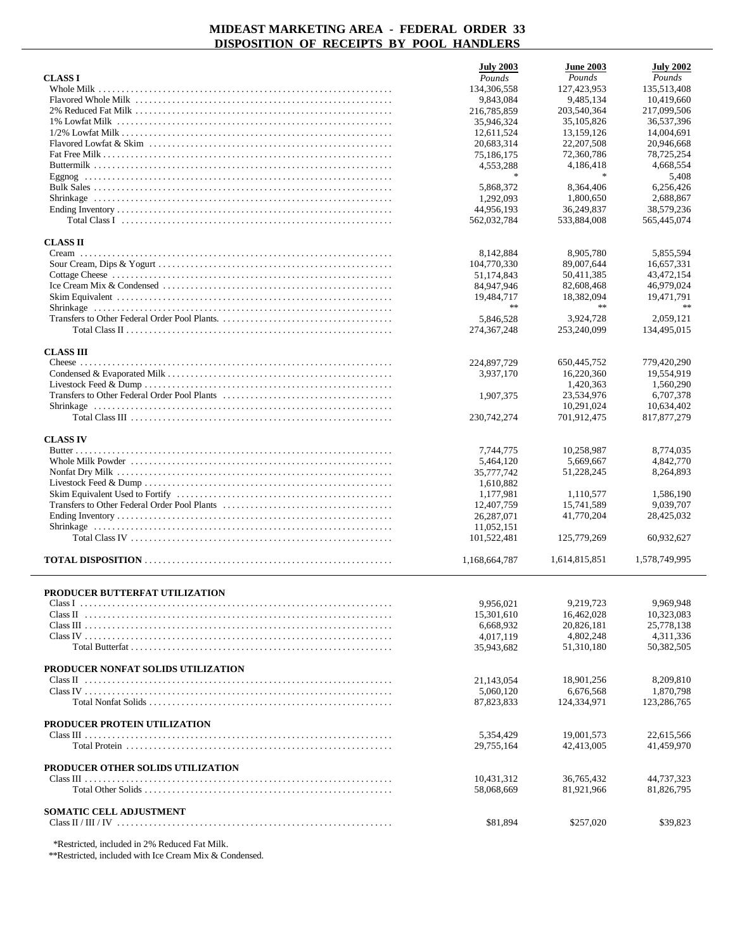|                                    | <b>July 2003</b>       | <b>June 2003</b>        | <b>July 2002</b> |
|------------------------------------|------------------------|-------------------------|------------------|
| <b>CLASS I</b>                     | Pounds                 | Pounds                  | Pounds           |
|                                    | 134,306,558            | 127,423,953             | 135,513,408      |
|                                    | 9,843,084              | 9,485,134               | 10,419,660       |
|                                    | 216,785,859            | 203,540,364             | 217,099,506      |
|                                    | 35,946,324             | 35, 105, 826            | 36,537,396       |
|                                    | 12,611,524             | 13,159,126              | 14,004,691       |
|                                    | 20,683,314             | 22, 207, 508            | 20,946,668       |
|                                    | 75,186,175             | 72,360,786              | 78,725,254       |
|                                    | 4,553,288              | 4,186,418               | 4,668,554        |
|                                    | $\frac{1}{2}$          | $\mathbf{x}$            | 5,408            |
|                                    | 5,868,372              | 8,364,406               | 6,256,426        |
|                                    | 1,292,093              | 1,800,650               | 2,688,867        |
|                                    | 44,956,193             | 36,249,837              | 38,579,236       |
|                                    | 562,032,784            | 533,884,008             | 565,445,074      |
| <b>CLASS II</b>                    |                        |                         |                  |
|                                    | 8,142,884              | 8,905,780               | 5,855,594        |
|                                    | 104,770,330            | 89,007,644              | 16,657,331       |
|                                    | 51,174,843             | 50,411,385              | 43,472,154       |
|                                    | 84,947,946             | 82,608,468              | 46,979,024       |
|                                    | 19,484,717             | 18,382,094              | 19,471,791       |
|                                    | $\ast$                 | $\ast$                  | $\ast$           |
|                                    | 5,846,528              | 3,924,728               | 2,059,121        |
|                                    | 274, 367, 248          | 253,240,099             | 134,495,015      |
|                                    |                        |                         |                  |
| <b>CLASS III</b>                   |                        |                         |                  |
|                                    | 224,897,729            | 650,445,752             | 779,420,290      |
|                                    | 3.937.170              | 16,220,360              | 19,554,919       |
|                                    |                        | 1,420,363               | 1,560,290        |
|                                    | 1,907,375              | 23,534,976              | 6,707,378        |
|                                    |                        | 10,291,024              | 10,634,402       |
|                                    | 230,742,274            | 701,912,475             | 817,877,279      |
|                                    |                        |                         |                  |
| <b>CLASS IV</b>                    |                        |                         |                  |
|                                    | 7,744,775              | 10,258,987              | 8,774,035        |
|                                    | 5,464,120              | 5,669,667<br>51,228,245 | 4,842,770        |
|                                    | 35,777,742             |                         | 8,264,893        |
|                                    | 1,610,882<br>1,177,981 | 1,110,577               | 1,586,190        |
|                                    | 12,407,759             | 15,741,589              | 9,039,707        |
|                                    | 26,287,071             | 41,770,204              | 28,425,032       |
|                                    | 11,052,151             |                         |                  |
|                                    | 101,522,481            | 125,779,269             | 60,932,627       |
|                                    |                        |                         |                  |
|                                    | 1,168,664,787          | 1,614,815,851           | 1,578,749,995    |
|                                    |                        |                         |                  |
|                                    |                        |                         |                  |
| PRODUCER BUTTERFAT UTILIZATION     |                        |                         |                  |
|                                    | 9,956,021              | 9,219,723               | 9,969,948        |
|                                    | 15,301,610             | 16,462,028              | 10,323,083       |
|                                    | 6,668,932              | 20,826,181              | 25,778,138       |
|                                    | 4,017,119              | 4,802,248               | 4,311,336        |
|                                    | 35,943,682             | 51,310,180              | 50,382,505       |
| PRODUCER NONFAT SOLIDS UTILIZATION |                        |                         |                  |
|                                    | 21,143,054             | 18,901,256              | 8,209,810        |
|                                    | 5,060,120              | 6,676,568               | 1,870,798        |
|                                    | 87,823,833             | 124,334,971             | 123,286,765      |
|                                    |                        |                         |                  |
| PRODUCER PROTEIN UTILIZATION       |                        |                         |                  |
|                                    | 5,354,429              | 19,001,573              | 22,615,566       |
|                                    | 29,755,164             | 42,413,005              | 41,459,970       |
|                                    |                        |                         |                  |
| PRODUCER OTHER SOLIDS UTILIZATION  |                        |                         |                  |
|                                    | 10,431,312             | 36,765,432              | 44,737,323       |
|                                    | 58,068,669             | 81,921,966              | 81,826,795       |
| <b>SOMATIC CELL ADJUSTMENT</b>     |                        |                         |                  |
|                                    | \$81,894               | \$257,020               | \$39,823         |
|                                    |                        |                         |                  |

\*Restricted, included in 2% Reduced Fat Milk.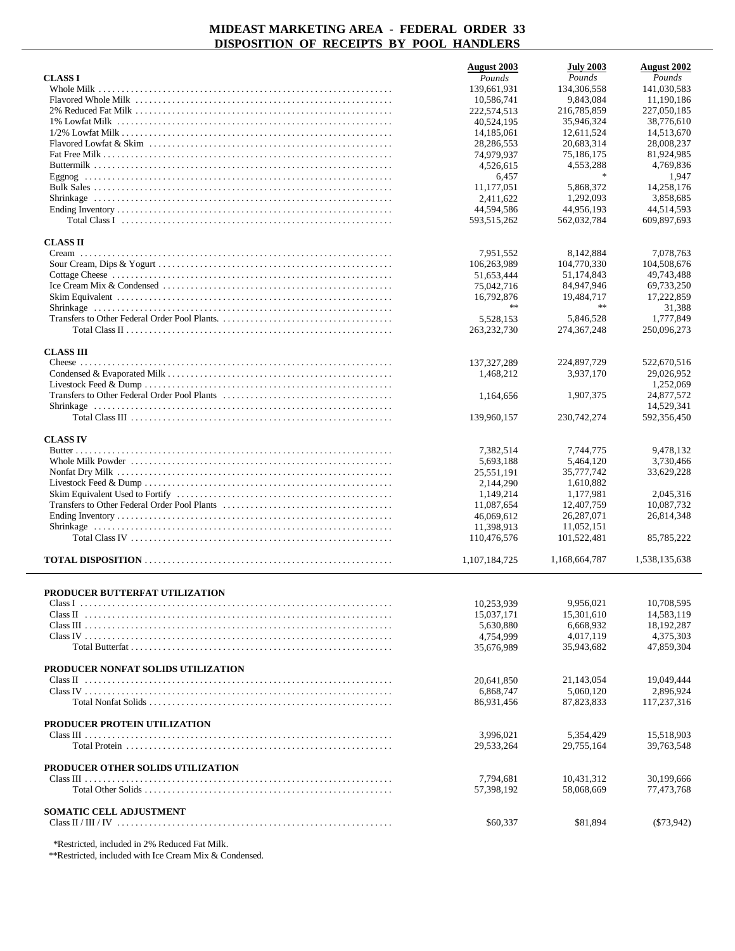|                                    | August 2003      | <b>July 2003</b>               | August 2002   |
|------------------------------------|------------------|--------------------------------|---------------|
| <b>CLASS I</b>                     | Pounds           | Pounds                         | Pounds        |
|                                    | 139,661,931      | 134,306,558                    | 141,030,583   |
|                                    | 10,586,741       | 9,843,084                      | 11,190,186    |
|                                    | 222,574,513      | 216,785,859                    | 227,050,185   |
|                                    | 40,524,195       | 35,946,324                     | 38,776,610    |
|                                    | 14,185,061       | 12,611,524                     | 14,513,670    |
|                                    | 28,286,553       | 20,683,314                     | 28,008,237    |
|                                    | 74,979,937       | 75,186,175                     | 81,924,985    |
|                                    | 4,526,615        | 4,553,288                      | 4,769,836     |
|                                    | 6,457            | $\ast$                         | 1,947         |
|                                    | 11,177,051       | 5,868,372                      | 14,258,176    |
|                                    | 2,411,622        | 1,292,093                      | 3,858,685     |
|                                    | 44,594,586       | 44,956,193                     | 44,514,593    |
|                                    | 593,515,262      | 562,032,784                    | 609,897,693   |
|                                    |                  |                                |               |
| <b>CLASS II</b>                    | 7,951,552        | 8,142,884                      | 7,078,763     |
|                                    | 106,263,989      | 104,770,330                    | 104,508,676   |
|                                    |                  | 51,174,843                     |               |
|                                    | 51,653,444       |                                | 49,743,488    |
|                                    | 75,042,716       | 84,947,946                     | 69,733,250    |
|                                    | 16,792,876<br>** | 19,484,717<br>$\star$ $\times$ | 17,222,859    |
|                                    |                  |                                | 31,388        |
|                                    | 5,528,153        | 5,846,528                      | 1,777,849     |
|                                    | 263, 232, 730    | 274, 367, 248                  | 250,096,273   |
| <b>CLASS III</b>                   |                  |                                |               |
|                                    | 137, 327, 289    | 224,897,729                    | 522,670,516   |
|                                    | 1,468,212        | 3,937,170                      | 29,026,952    |
|                                    |                  |                                | 1,252,069     |
|                                    | 1,164,656        | 1,907,375                      | 24,877,572    |
|                                    |                  |                                | 14,529,341    |
|                                    | 139,960,157      | 230, 742, 274                  | 592,356,450   |
|                                    |                  |                                |               |
| <b>CLASS IV</b>                    |                  |                                |               |
|                                    | 7,382,514        | 7,744,775                      | 9,478,132     |
|                                    | 5,693,188        | 5,464,120                      | 3,730,466     |
|                                    | 25,551,191       | 35,777,742                     | 33,629,228    |
|                                    | 2,144,290        | 1,610,882                      |               |
|                                    | 1,149,214        | 1,177,981                      | 2,045,316     |
|                                    | 11,087,654       | 12,407,759                     | 10,087,732    |
|                                    | 46,069,612       | 26, 287, 071                   | 26,814,348    |
|                                    | 11,398,913       | 11,052,151                     |               |
|                                    | 110,476,576      | 101,522,481                    | 85,785,222    |
|                                    |                  |                                |               |
|                                    | 1,107,184,725    | 1,168,664,787                  | 1,538,135,638 |
|                                    |                  |                                |               |
| PRODUCER BUTTERFAT UTILIZATION     |                  |                                |               |
|                                    | 10,253,939       | 9,956,021                      | 10,708,595    |
|                                    | 15,037,171       | 15,301,610                     | 14,583,119    |
|                                    | 5,630,880        | 6,668,932                      | 18,192,287    |
|                                    | 4,754,999        | 4,017,119                      | 4,375,303     |
|                                    | 35,676,989       | 35,943,682                     | 47,859,304    |
| PRODUCER NONFAT SOLIDS UTILIZATION |                  |                                |               |
|                                    | 20,641,850       | 21,143,054                     | 19,049,444    |
|                                    | 6,868,747        | 5,060,120                      | 2,896,924     |
|                                    |                  | 87,823,833                     |               |
|                                    | 86,931,456       |                                | 117,237,316   |
| PRODUCER PROTEIN UTILIZATION       |                  |                                |               |
|                                    | 3,996,021        | 5,354,429                      | 15,518,903    |
|                                    | 29,533,264       | 29,755,164                     | 39,763,548    |
|                                    |                  |                                |               |
| PRODUCER OTHER SOLIDS UTILIZATION  |                  |                                |               |
|                                    | 7,794,681        | 10,431,312                     | 30,199,666    |
|                                    | 57,398,192       | 58,068,669                     | 77,473,768    |
|                                    |                  |                                |               |
| <b>SOMATIC CELL ADJUSTMENT</b>     |                  |                                |               |
|                                    | \$60,337         | \$81,894                       | (573, 942)    |

\*Restricted, included in 2% Reduced Fat Milk.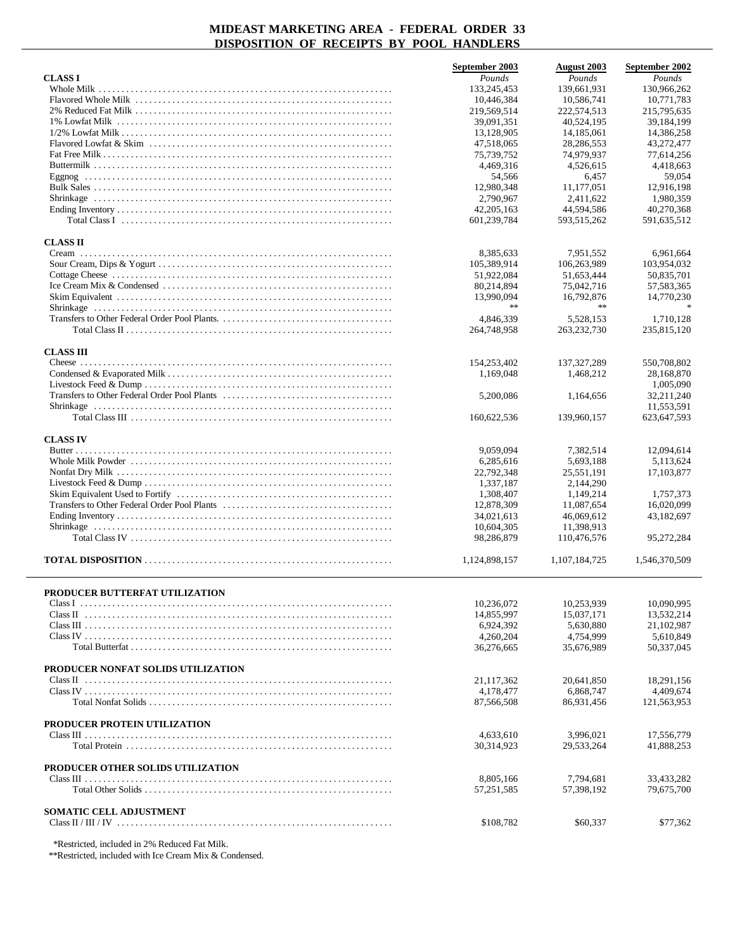|                                                                                                                                    | September 2003 | <b>August 2003</b> | September 2002 |
|------------------------------------------------------------------------------------------------------------------------------------|----------------|--------------------|----------------|
| <b>CLASS I</b>                                                                                                                     | Pounds         | Pounds             | Pounds         |
|                                                                                                                                    | 133.245.453    | 139,661,931        | 130.966.262    |
|                                                                                                                                    | 10,446,384     | 10,586,741         | 10,771,783     |
|                                                                                                                                    | 219,569,514    | 222,574,513        | 215,795,635    |
|                                                                                                                                    | 39,091,351     | 40,524,195         | 39,184,199     |
|                                                                                                                                    | 13,128,905     | 14, 185, 061       | 14,386,258     |
|                                                                                                                                    | 47,518,065     | 28, 286, 553       | 43,272,477     |
|                                                                                                                                    | 75,739,752     | 74,979,937         | 77,614,256     |
|                                                                                                                                    | 4,469,316      | 4,526,615          | 4,418,663      |
|                                                                                                                                    | 54,566         | 6,457              | 59,054         |
|                                                                                                                                    | 12,980,348     | 11,177,051         | 12,916,198     |
|                                                                                                                                    | 2,790,967      | 2.411.622          | 1,980,359      |
|                                                                                                                                    | 42,205,163     | 44,594,586         | 40,270,368     |
| Total Class I $\ldots$ $\ldots$ $\ldots$ $\ldots$ $\ldots$ $\ldots$ $\ldots$ $\ldots$ $\ldots$ $\ldots$ $\ldots$ $\ldots$ $\ldots$ | 601,239,784    | 593,515,262        | 591,635,512    |
| <b>CLASS II</b>                                                                                                                    |                |                    |                |
| Cream                                                                                                                              | 8,385,633      | 7,951,552          | 6,961,664      |
|                                                                                                                                    | 105,389,914    | 106,263,989        | 103,954,032    |
|                                                                                                                                    | 51,922,084     | 51,653,444         | 50,835,701     |
|                                                                                                                                    | 80,214,894     | 75,042,716         | 57,583,365     |
|                                                                                                                                    | 13.990.094     | 16,792,876         | 14,770,230     |
|                                                                                                                                    | $\gg \gg$      | $\ast$ $\ast$      |                |
|                                                                                                                                    | 4.846.339      | 5.528.153          | 1,710,128      |
|                                                                                                                                    |                |                    |                |
|                                                                                                                                    | 264,748,958    | 263, 232, 730      | 235,815,120    |
| <b>CLASS III</b>                                                                                                                   |                |                    |                |
|                                                                                                                                    | 154,253,402    | 137, 327, 289      | 550,708,802    |
|                                                                                                                                    | 1,169,048      | 1,468,212          | 28,168,870     |
|                                                                                                                                    |                |                    | 1,005,090      |
|                                                                                                                                    | 5,200,086      | 1,164,656          | 32,211,240     |
|                                                                                                                                    |                |                    | 11,553,591     |
|                                                                                                                                    | 160,622,536    | 139,960,157        | 623, 647, 593  |
|                                                                                                                                    |                |                    |                |
| <b>CLASS IV</b>                                                                                                                    |                |                    |                |
|                                                                                                                                    | 9,059,094      | 7,382,514          | 12,094,614     |
|                                                                                                                                    | 6,285,616      | 5,693,188          | 5,113,624      |
|                                                                                                                                    | 22,792,348     | 25,551,191         | 17,103,877     |
|                                                                                                                                    | 1,337,187      | 2,144,290          |                |
|                                                                                                                                    | 1,308,407      | 1,149,214          | 1,757,373      |
|                                                                                                                                    | 12,878,309     | 11,087,654         | 16,020,099     |
|                                                                                                                                    | 34,021,613     | 46,069,612         | 43,182,697     |
|                                                                                                                                    | 10,604,305     | 11,398,913         |                |
|                                                                                                                                    | 98,286,879     | 110,476,576        | 95,272,284     |
|                                                                                                                                    | 1,124,898,157  | 1,107,184,725      | 1,546,370,509  |
|                                                                                                                                    |                |                    |                |
| PRODUCER BUTTERFAT UTILIZATION                                                                                                     |                |                    |                |
|                                                                                                                                    | 10,236,072     | 10,253,939         | 10,090,995     |
|                                                                                                                                    | 14,855,997     | 15.037.171         | 13,532,214     |
|                                                                                                                                    | 6,924,392      | 5,630,880          | 21,102,987     |
|                                                                                                                                    | 4,260,204      | 4,754,999          | 5,610,849      |
|                                                                                                                                    | 36,276,665     | 35,676,989         | 50,337,045     |
|                                                                                                                                    |                |                    |                |
| PRODUCER NONFAT SOLIDS UTILIZATION                                                                                                 |                |                    |                |
|                                                                                                                                    | 21,117,362     | 20.641.850         | 18,291,156     |
|                                                                                                                                    | 4,178,477      | 6,868,747          | 4,409,674      |
|                                                                                                                                    | 87,566,508     | 86,931,456         | 121,563,953    |
|                                                                                                                                    |                |                    |                |
| PRODUCER PROTEIN UTILIZATION                                                                                                       |                |                    |                |
|                                                                                                                                    | 4,633,610      | 3,996,021          | 17,556,779     |
|                                                                                                                                    | 30,314,923     | 29,533,264         | 41,888,253     |
| PRODUCER OTHER SOLIDS UTILIZATION                                                                                                  |                |                    |                |
|                                                                                                                                    | 8,805,166      | 7,794,681          | 33,433,282     |
|                                                                                                                                    | 57,251,585     | 57,398,192         | 79,675,700     |
|                                                                                                                                    |                |                    |                |
| SOMATIC CELL ADJUSTMENT                                                                                                            |                |                    |                |
|                                                                                                                                    | \$108,782      | \$60,337           | \$77,362       |
|                                                                                                                                    |                |                    |                |

\*Restricted, included in 2% Reduced Fat Milk.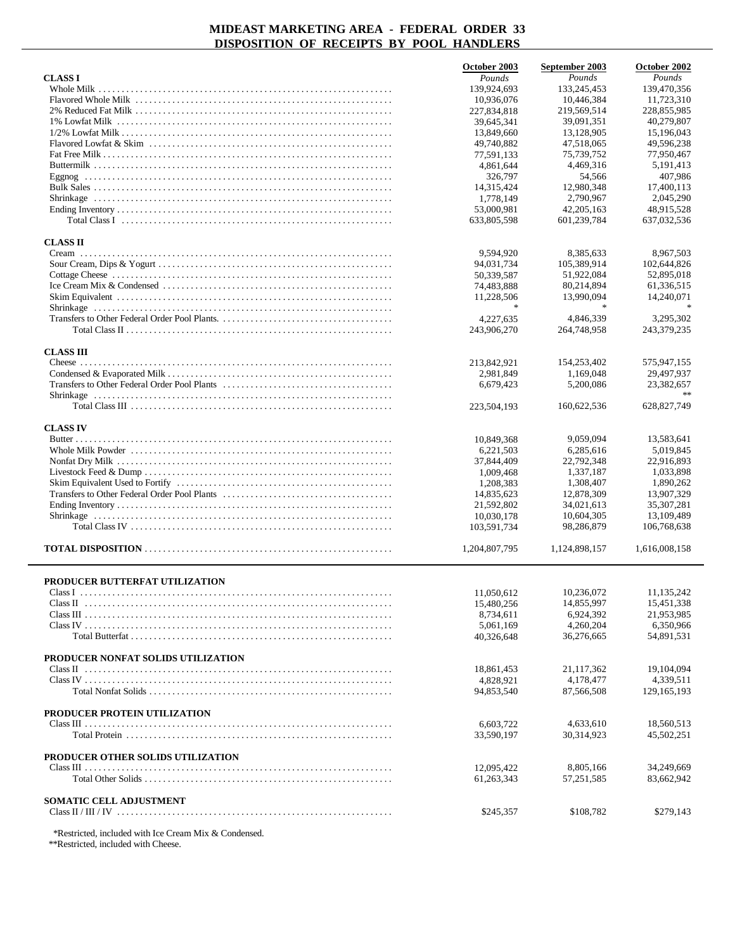|                                                                                                                                    | October 2003  | September 2003              | October 2002              |
|------------------------------------------------------------------------------------------------------------------------------------|---------------|-----------------------------|---------------------------|
| <b>CLASS I</b>                                                                                                                     | Pounds        | Pounds                      | Pounds                    |
| Whole Milk                                                                                                                         | 139,924,693   | 133,245,453                 | 139,470,356               |
|                                                                                                                                    | 10,936,076    | 10,446,384                  | 11,723,310                |
|                                                                                                                                    | 227,834,818   | 219,569,514                 | 228,855,985               |
|                                                                                                                                    | 39,645,341    | 39,091,351                  | 40,279,807                |
|                                                                                                                                    | 13,849,660    | 13,128,905                  | 15,196,043                |
|                                                                                                                                    | 49,740,882    | 47,518,065                  | 49,596,238                |
|                                                                                                                                    | 77,591,133    | 75,739,752                  | 77,950,467                |
|                                                                                                                                    | 4,861,644     | 4,469,316                   | 5,191,413                 |
|                                                                                                                                    | 326,797       | 54.566                      | 407,986                   |
|                                                                                                                                    | 14,315,424    | 12,980,348                  | 17,400,113<br>2,045,290   |
|                                                                                                                                    | 1,778,149     | 2,790,967                   |                           |
| Total Class I $\ldots$ $\ldots$ $\ldots$ $\ldots$ $\ldots$ $\ldots$ $\ldots$ $\ldots$ $\ldots$ $\ldots$ $\ldots$ $\ldots$ $\ldots$ | 53,000,981    | 42, 205, 163<br>601,239,784 | 48,915,528<br>637,032,536 |
|                                                                                                                                    | 633,805,598   |                             |                           |
| <b>CLASS II</b>                                                                                                                    |               |                             |                           |
|                                                                                                                                    | 9,594,920     | 8,385,633                   | 8,967,503                 |
|                                                                                                                                    | 94,031,734    | 105,389,914                 | 102,644,826               |
|                                                                                                                                    | 50,339,587    | 51,922,084                  | 52,895,018                |
|                                                                                                                                    | 74,483,888    | 80,214,894                  | 61,336,515                |
|                                                                                                                                    | 11,228,506    | 13,990,094                  | 14,240,071                |
|                                                                                                                                    | 宋             | $\ast$                      |                           |
|                                                                                                                                    | 4,227,635     | 4,846,339                   | 3,295,302                 |
|                                                                                                                                    | 243,906,270   | 264,748,958                 | 243,379,235               |
|                                                                                                                                    |               |                             |                           |
| <b>CLASS III</b>                                                                                                                   |               |                             |                           |
|                                                                                                                                    | 213,842,921   | 154,253,402                 | 575,947,155               |
|                                                                                                                                    | 2,981,849     | 1,169,048                   | 29,497,937                |
|                                                                                                                                    | 6,679,423     | 5,200,086                   | 23,382,657                |
|                                                                                                                                    |               |                             |                           |
|                                                                                                                                    | 223,504,193   | 160,622,536                 | 628,827,749               |
|                                                                                                                                    |               |                             |                           |
| <b>CLASS IV</b>                                                                                                                    |               |                             |                           |
| Butter $\ldots$                                                                                                                    | 10,849,368    | 9,059,094                   | 13,583,641                |
|                                                                                                                                    | 6,221,503     | 6,285,616                   | 5,019,845                 |
|                                                                                                                                    | 37,844,409    | 22,792,348                  | 22,916,893                |
|                                                                                                                                    | 1,009,468     | 1,337,187                   | 1,033,898                 |
|                                                                                                                                    | 1,208,383     | 1,308,407                   | 1,890,262                 |
|                                                                                                                                    | 14,835,623    | 12,878,309                  | 13,907,329                |
|                                                                                                                                    | 21,592,802    | 34,021,613                  | 35,307,281                |
|                                                                                                                                    | 10,030,178    | 10,604,305                  | 13,109,489                |
|                                                                                                                                    | 103,591,734   | 98,286,879                  | 106,768,638               |
|                                                                                                                                    | 1,204,807,795 |                             |                           |
|                                                                                                                                    |               | 1,124,898,157               | 1,616,008,158             |
|                                                                                                                                    |               |                             |                           |
| PRODUCER BUTTERFAT UTILIZATION                                                                                                     |               |                             |                           |
|                                                                                                                                    | 11,050,612    | 10,236,072                  | 11,135,242                |
|                                                                                                                                    | 15,480,256    | 14,855,997                  | 15,451,338                |
|                                                                                                                                    | 8,734,611     | 6,924,392                   | 21,953,985                |
|                                                                                                                                    | 5,061,169     | 4,260,204                   | 6,350,966                 |
|                                                                                                                                    | 40,326,648    | 36,276,665                  | 54,891,531                |
|                                                                                                                                    |               |                             |                           |
| PRODUCER NONFAT SOLIDS UTILIZATION                                                                                                 |               |                             |                           |
|                                                                                                                                    | 18,861,453    | 21,117,362                  | 19,104,094                |
|                                                                                                                                    | 4,828,921     | 4,178,477                   | 4,339,511                 |
|                                                                                                                                    | 94,853,540    | 87,566,508                  | 129, 165, 193             |
|                                                                                                                                    |               |                             |                           |
| PRODUCER PROTEIN UTILIZATION                                                                                                       |               |                             |                           |
|                                                                                                                                    | 6,603,722     | 4,633,610                   | 18,560,513                |
|                                                                                                                                    | 33,590,197    | 30,314,923                  | 45,502,251                |
|                                                                                                                                    |               |                             |                           |
| PRODUCER OTHER SOLIDS UTILIZATION                                                                                                  |               |                             |                           |
|                                                                                                                                    | 12,095,422    | 8,805,166                   | 34,249,669                |
|                                                                                                                                    | 61,263,343    | 57, 251, 585                | 83,662,942                |
|                                                                                                                                    |               |                             |                           |
| SOMATIC CELL ADJUSTMENT                                                                                                            |               |                             |                           |
|                                                                                                                                    | \$245,357     | \$108,782                   | \$279,143                 |
|                                                                                                                                    |               |                             |                           |

\*Restricted, included with Ice Cream Mix & Condensed.

\*\*Restricted, included with Cheese.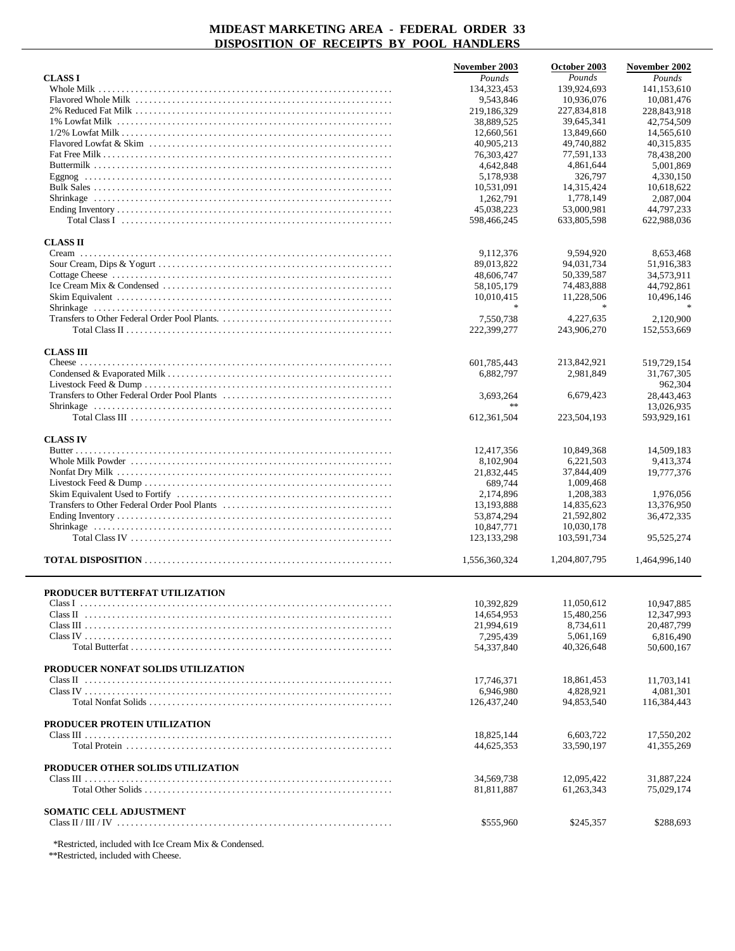|                                    | November 2003 | October 2003  | November 2002 |
|------------------------------------|---------------|---------------|---------------|
| <b>CLASS I</b>                     | Pounds        | Pounds        | Pounds        |
|                                    | 134, 323, 453 | 139,924,693   | 141,153,610   |
|                                    | 9.543.846     | 10,936,076    | 10,081,476    |
|                                    | 219,186,329   | 227,834,818   | 228,843,918   |
|                                    | 38,889,525    | 39,645,341    | 42,754,509    |
|                                    | 12,660,561    | 13,849,660    | 14,565,610    |
|                                    | 40,905,213    | 49,740,882    | 40,315,835    |
|                                    | 76,303,427    | 77,591,133    | 78,438,200    |
|                                    | 4,642,848     | 4,861,644     | 5,001,869     |
|                                    | 5,178,938     | 326,797       | 4,330,150     |
|                                    | 10,531,091    | 14.315.424    | 10,618,622    |
|                                    | 1,262,791     | 1,778,149     | 2,087,004     |
|                                    | 45,038,223    | 53,000.981    | 44.797.233    |
|                                    | 598,466,245   | 633,805,598   | 622,988,036   |
|                                    |               |               |               |
| <b>CLASS II</b>                    |               |               |               |
|                                    | 9,112,376     | 9,594,920     | 8,653,468     |
|                                    | 89,013,822    | 94,031,734    | 51,916,383    |
|                                    | 48,606,747    | 50,339,587    | 34,573,911    |
|                                    | 58,105,179    | 74,483,888    | 44,792,861    |
|                                    | 10,010,415    | 11,228,506    | 10,496,146    |
|                                    | *             | $\ast$        |               |
|                                    |               |               |               |
|                                    | 7,550,738     | 4,227,635     | 2,120,900     |
|                                    | 222,399,277   | 243,906,270   | 152,553,669   |
|                                    |               |               |               |
| <b>CLASS III</b>                   |               |               |               |
|                                    | 601.785.443   | 213,842,921   | 519,729,154   |
|                                    | 6.882.797     | 2,981,849     | 31,767,305    |
|                                    |               |               | 962,304       |
|                                    | 3,693,264     | 6,679,423     | 28,443,463    |
|                                    | **            |               | 13,026,935    |
|                                    | 612, 361, 504 | 223,504,193   | 593,929,161   |
|                                    |               |               |               |
| <b>CLASS IV</b>                    |               |               |               |
|                                    | 12,417,356    | 10,849,368    | 14,509,183    |
|                                    | 8,102,904     | 6,221,503     | 9,413,374     |
|                                    | 21,832,445    | 37,844,409    | 19,777,376    |
|                                    | 689,744       | 1,009,468     |               |
|                                    | 2,174,896     | 1,208,383     | 1,976,056     |
|                                    | 13,193,888    | 14,835,623    | 13,376,950    |
|                                    | 53,874,294    | 21,592,802    | 36,472,335    |
|                                    | 10,847,771    | 10,030,178    |               |
|                                    | 123, 133, 298 | 103,591,734   | 95,525,274    |
|                                    |               |               |               |
|                                    | 1,556,360,324 | 1,204,807,795 | 1,464,996,140 |
|                                    |               |               |               |
|                                    |               |               |               |
| PRODUCER BUTTERFAT UTILIZATION     |               |               |               |
|                                    | 10,392,829    | 11,050,612    | 10,947,885    |
|                                    | 14,654,953    | 15,480,256    | 12,347,993    |
|                                    | 21,994,619    | 8,734,611     | 20,487,799    |
|                                    | 7,295,439     | 5,061,169     | 6,816,490     |
|                                    | 54,337,840    | 40,326,648    | 50,600,167    |
|                                    |               |               |               |
| PRODUCER NONFAT SOLIDS UTILIZATION |               |               |               |
|                                    | 17,746,371    | 18,861,453    | 11,703,141    |
|                                    | 6,946,980     | 4,828,921     | 4,081,301     |
|                                    | 126,437,240   | 94,853,540    | 116,384,443   |
|                                    |               |               |               |
| PRODUCER PROTEIN UTILIZATION       |               |               |               |
|                                    | 18,825,144    | 6,603,722     | 17,550,202    |
|                                    | 44,625,353    | 33,590,197    | 41,355,269    |
|                                    |               |               |               |
| PRODUCER OTHER SOLIDS UTILIZATION  |               |               |               |
|                                    |               | 12,095,422    |               |
|                                    | 34,569,738    |               | 31,887,224    |
|                                    | 81,811,887    | 61,263,343    | 75,029,174    |
|                                    |               |               |               |
| SOMATIC CELL ADJUSTMENT            |               |               |               |
|                                    | \$555,960     | \$245,357     | \$288,693     |
|                                    |               |               |               |

\*Restricted, included with Ice Cream Mix & Condensed.

\*\*Restricted, included with Cheese.